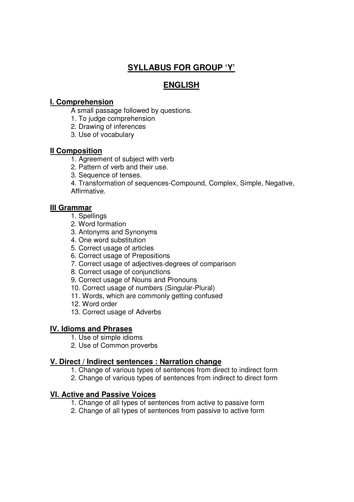# **SYLLABUS FOR GROUP 'Y'**

## **ENGLISH**

### **I. Comprehension**

- A small passage followed by questions.
- 1. To judge comprehension
- 2. Drawing of inferences
- 3. Use of vocabulary

### **II Composition**

- 1. Agreement of subject with verb
- 2. Pattern of verb and their use.
- 3. Sequence of tenses.

 4. Transformation of sequences-Compound, Complex, Simple, Negative, Affirmative.

#### **III Grammar**

- 1. Spellings
- 2. Word formation
- 3. Antonyms and Synonyms
- 4. One word substitution
- 5. Correct usage of articles
- 6. Correct usage of Prepositions
- 7. Correct usage of adjectives-degrees of comparison
- 8. Correct usage of conjunctions
- 9. Correct usage of Nouns and Pronouns
- 10. Correct usage of numbers (Singular-Plural)
- 11. Words, which are commonly getting confused
- 12. Word order
- 13. Correct usage of Adverbs

#### **IV. Idioms and Phrases**

- 1. Use of simple idioms
- 2. Use of Common proverbs

#### **V. Direct / Indirect sentences : Narration change**

- 1. Change of various types of sentences from direct to indirect form
- 2. Change of various types of sentences from indirect to direct form

#### **VI. Active and Passive Voices**

- 1. Change of all types of sentences from active to passive form
- 2. Change of all types of sentences from passive to active form